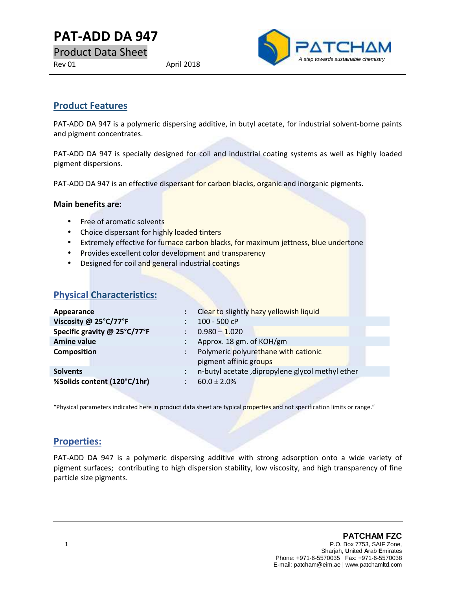## **PAT-ADD DA 947**

Product Data Sheet

Rev 01 April 2018



### **Product Features**

PAT-ADD DA 947 is a polymeric dispersing additive, in butyl acetate, for industrial solvent-borne paints and pigment concentrates.

PAT-ADD DA 947 is specially designed for coil and industrial coating systems as well as highly loaded pigment dispersions.

PAT-ADD DA 947 is an effective dispersant for carbon blacks, organic and inorganic pigments.

#### **Main benefits are:**

• Free of aromatic solvents

**Physical Characteristics:**

- Choice dispersant for highly loaded tinters
- **Extremely effective for furnace carbon blacks, for maximum jettness, blue undertone**
- Provides excellent color development and transparency
- Designed for coil and general industrial coatings

| Appearance                   | Clear to slightly hazy yellowish liquid           |
|------------------------------|---------------------------------------------------|
| Viscosity @ 25°C/77°F        | 100 - 500 cP                                      |
| Specific gravity @ 25°C/77°F | $0.980 - 1.020$                                   |
| <b>Amine value</b>           | Approx. 18 gm. of KOH/gm                          |
| <b>Composition</b>           | Polymeric polyurethane with cationic              |
|                              | pigment affinic groups                            |
| <b>Solvents</b>              | n-butyl acetate , dipropylene glycol methyl ether |
| %Solids content (120°C/1hr)  | $60.0 \pm 2.0\%$                                  |
|                              |                                                   |

"Physical parameters indicated here in product data sheet are typical properties and not specification limits or range."

#### **Properties:**

PAT-ADD DA 947 is a polymeric dispersing additive with strong adsorption onto a wide variety of pigment surfaces; contributing to high dispersion stability, low viscosity, and high transparency of fine particle size pigments.